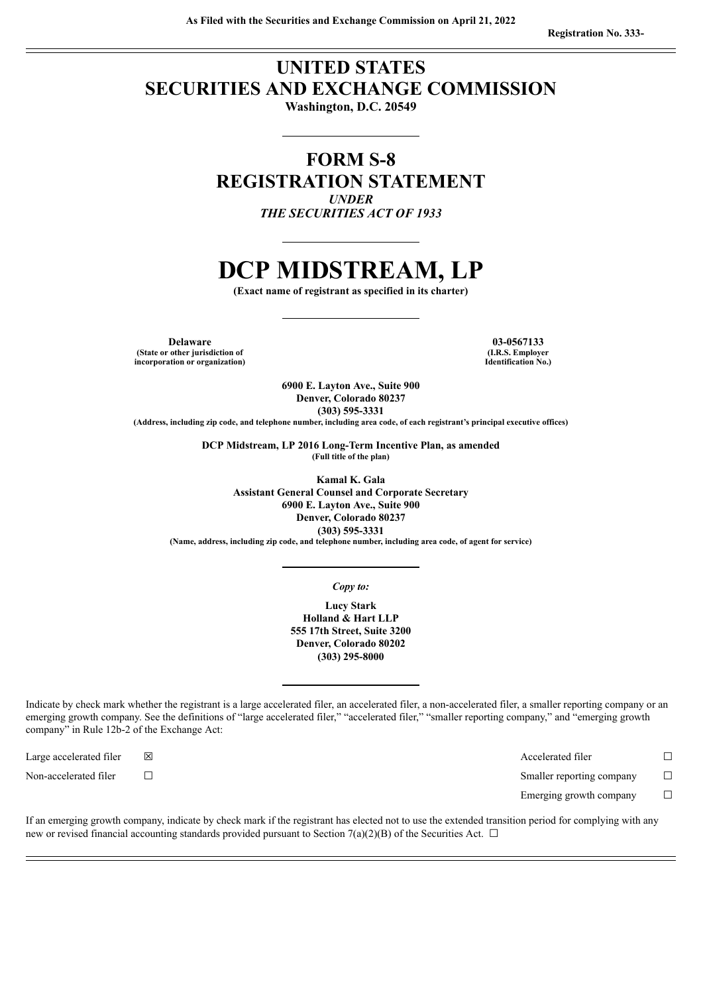# **UNITED STATES SECURITIES AND EXCHANGE COMMISSION**

**Washington, D.C. 20549**

# **FORM S-8 REGISTRATION STATEMENT** *UNDER THE SECURITIES ACT OF 1933*

# **DCP MIDSTREAM, LP**

**(Exact name of registrant as specified in its charter)**

**Delaware 03-0567133 (State or other jurisdiction of incorporation or organization)**

**(I.R.S. Employer Identification No.)**

**6900 E. Layton Ave., Suite 900 Denver, Colorado 80237 (303) 595-3331**

(Address, including zip code, and telephone number, including area code, of each registrant's principal executive offices)

**DCP Midstream, LP 2016 Long-Term Incentive Plan, as amended (Full title of the plan)**

**Kamal K. Gala Assistant General Counsel and Corporate Secretary 6900 E. Layton Ave., Suite 900 Denver, Colorado 80237 (303) 595-3331**

**(Name, address, including zip code, and telephone number, including area code, of agent for service)**

*Copy to:*

**Lucy Stark Holland & Hart LLP 555 17th Street, Suite 3200 Denver, Colorado 80202 (303) 295-8000**

Indicate by check mark whether the registrant is a large accelerated filer, an accelerated filer, a non-accelerated filer, a smaller reporting company or an emerging growth company. See the definitions of "large accelerated filer," "accelerated filer," "smaller reporting company," and "emerging growth company" in Rule 12b-2 of the Exchange Act:

Large accelerated filer ☒ Accelerated filer ☐

Non-accelerated filer ☐ Smaller reporting company ☐

Emerging growth company  $\Box$ 

If an emerging growth company, indicate by check mark if the registrant has elected not to use the extended transition period for complying with any new or revised financial accounting standards provided pursuant to Section 7(a)(2)(B) of the Securities Act.  $\Box$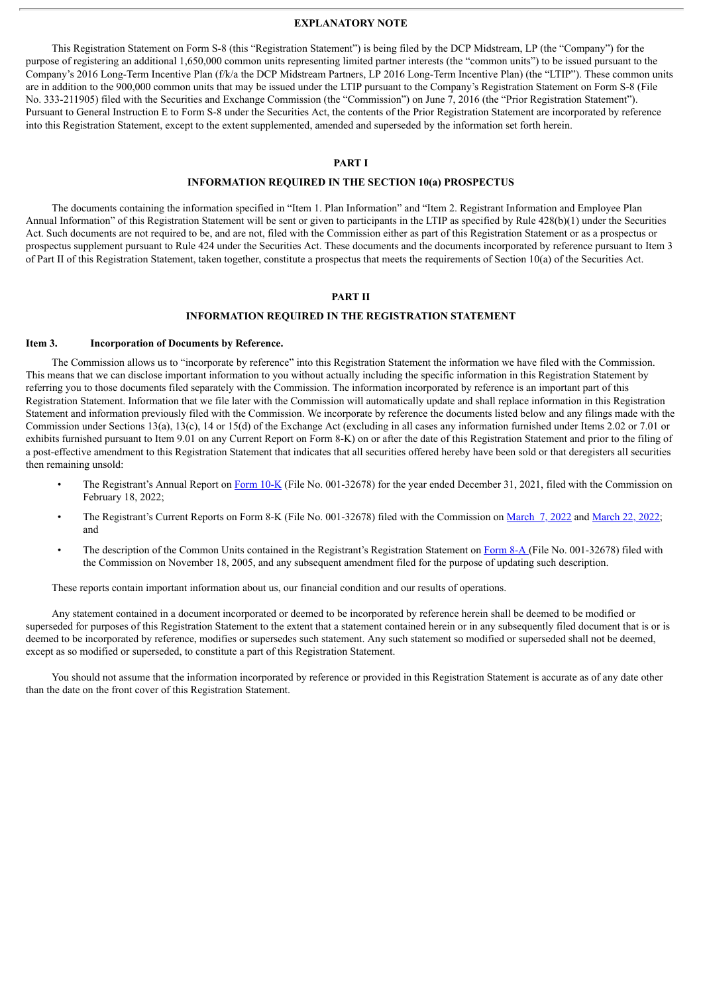#### **EXPLANATORY NOTE**

This Registration Statement on Form S-8 (this "Registration Statement") is being filed by the DCP Midstream, LP (the "Company") for the purpose of registering an additional 1,650,000 common units representing limited partner interests (the "common units") to be issued pursuant to the Company's 2016 Long-Term Incentive Plan (f/k/a the DCP Midstream Partners, LP 2016 Long-Term Incentive Plan) (the "LTIP"). These common units are in addition to the 900,000 common units that may be issued under the LTIP pursuant to the Company's Registration Statement on Form S-8 (File No. 333-211905) filed with the Securities and Exchange Commission (the "Commission") on June 7, 2016 (the "Prior Registration Statement"). Pursuant to General Instruction E to Form S-8 under the Securities Act, the contents of the Prior Registration Statement are incorporated by reference into this Registration Statement, except to the extent supplemented, amended and superseded by the information set forth herein.

# **PART I**

#### **INFORMATION REQUIRED IN THE SECTION 10(a) PROSPECTUS**

The documents containing the information specified in "Item 1. Plan Information" and "Item 2. Registrant Information and Employee Plan Annual Information" of this Registration Statement will be sent or given to participants in the LTIP as specified by Rule 428(b)(1) under the Securities Act. Such documents are not required to be, and are not, filed with the Commission either as part of this Registration Statement or as a prospectus or prospectus supplement pursuant to Rule 424 under the Securities Act. These documents and the documents incorporated by reference pursuant to Item 3 of Part II of this Registration Statement, taken together, constitute a prospectus that meets the requirements of Section 10(a) of the Securities Act.

#### **PART II**

# **INFORMATION REQUIRED IN THE REGISTRATION STATEMENT**

#### **Item 3. Incorporation of Documents by Reference.**

The Commission allows us to "incorporate by reference" into this Registration Statement the information we have filed with the Commission. This means that we can disclose important information to you without actually including the specific information in this Registration Statement by referring you to those documents filed separately with the Commission. The information incorporated by reference is an important part of this Registration Statement. Information that we file later with the Commission will automatically update and shall replace information in this Registration Statement and information previously filed with the Commission. We incorporate by reference the documents listed below and any filings made with the Commission under Sections 13(a), 13(c), 14 or 15(d) of the Exchange Act (excluding in all cases any information furnished under Items 2.02 or 7.01 or exhibits furnished pursuant to Item 9.01 on any Current Report on Form 8-K) on or after the date of this Registration Statement and prior to the filing of a post-effective amendment to this Registration Statement that indicates that all securities offered hereby have been sold or that deregisters all securities then remaining unsold:

- The Registrant's Annual Report on [Form](http://www.sec.gov/ix?doc=/Archives/edgar/data/1338065/000133806522000009/dpm-20211231.htm) 10-K (File No. 001-32678) for the year ended December 31, 2021, filed with the Commission on February 18, 2022;
- The Registrant's Current Reports on Form 8-K (File No. 001-32678) filed with the Commission on [March](http://www.sec.gov/ix?doc=/Archives/edgar/data/1338065/000119312522067949/d325510d8k.htm) 7, 2022 and [March](http://www.sec.gov/ix?doc=/Archives/edgar/data/1338065/000119312522081655/d509196d8k.htm) 22, 2022; and
- The description of the Common Units contained in the Registrant's Registration Statement on [Form](http://www.sec.gov/Archives/edgar/data/1338065/000095012905011192/h30565e8va12b.htm) 8-A (File No. 001-32678) filed with the Commission on November 18, 2005, and any subsequent amendment filed for the purpose of updating such description.

These reports contain important information about us, our financial condition and our results of operations.

Any statement contained in a document incorporated or deemed to be incorporated by reference herein shall be deemed to be modified or superseded for purposes of this Registration Statement to the extent that a statement contained herein or in any subsequently filed document that is or is deemed to be incorporated by reference, modifies or supersedes such statement. Any such statement so modified or superseded shall not be deemed, except as so modified or superseded, to constitute a part of this Registration Statement.

You should not assume that the information incorporated by reference or provided in this Registration Statement is accurate as of any date other than the date on the front cover of this Registration Statement.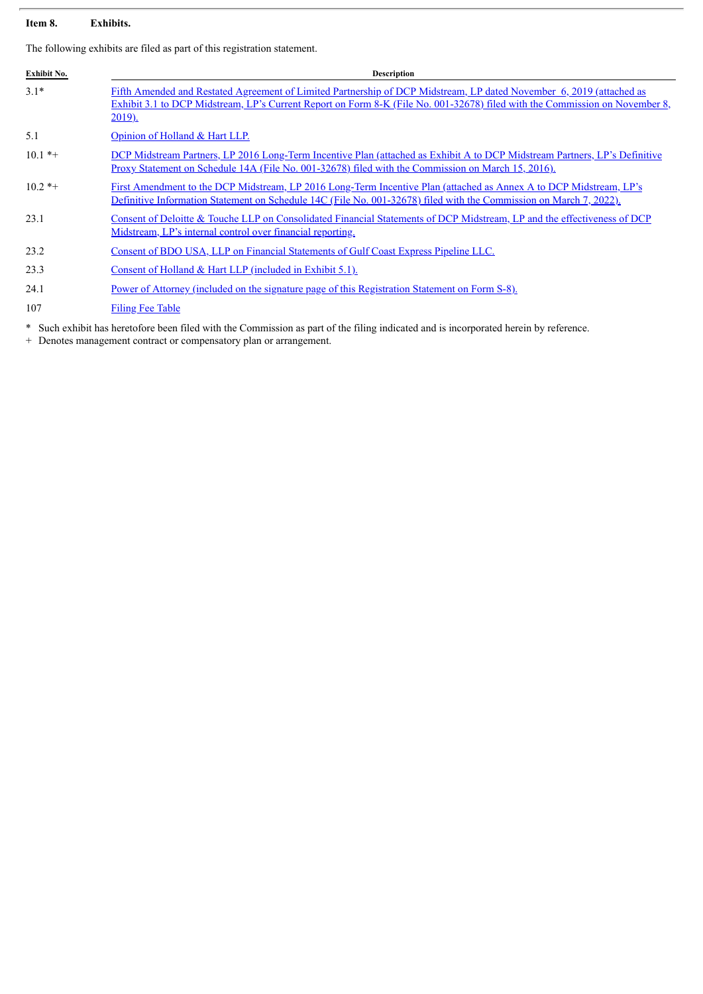# **Item 8. Exhibits.**

The following exhibits are filed as part of this registration statement.

| Exhibit No. | <b>Description</b>                                                                                                                                                                                                                                                   |
|-------------|----------------------------------------------------------------------------------------------------------------------------------------------------------------------------------------------------------------------------------------------------------------------|
| $3.1*$      | Fifth Amended and Restated Agreement of Limited Partnership of DCP Midstream, LP dated November 6, 2019 (attached as<br>Exhibit 3.1 to DCP Midstream, LP's Current Report on Form 8-K (File No. 001-32678) filed with the Commission on November 8,<br><u>2019).</u> |
| 5.1         | Opinion of Holland & Hart LLP.                                                                                                                                                                                                                                       |
| $10.1$ *+   | DCP Midstream Partners, LP 2016 Long-Term Incentive Plan (attached as Exhibit A to DCP Midstream Partners, LP's Definitive<br>Proxy Statement on Schedule 14A (File No. 001-32678) filed with the Commission on March 15, 2016).                                     |
| $10.2$ *+   | First Amendment to the DCP Midstream, LP 2016 Long-Term Incentive Plan (attached as Annex A to DCP Midstream, LP's<br>Definitive Information Statement on Schedule 14C (File No. 001-32678) filed with the Commission on March 7, 2022).                             |
| 23.1        | Consent of Deloitte & Touche LLP on Consolidated Financial Statements of DCP Midstream, LP and the effectiveness of DCP<br>Midstream, LP's internal control over financial reporting.                                                                                |
| 23.2        | Consent of BDO USA, LLP on Financial Statements of Gulf Coast Express Pipeline LLC.                                                                                                                                                                                  |
| 23.3        | Consent of Holland $& Hart LLP$ (included in Exhibit 5.1).                                                                                                                                                                                                           |
| 24.1        | <u>Power of Attorney (included on the signature page of this Registration Statement on Form S-8).</u>                                                                                                                                                                |
| 107         | <b>Filing Fee Table</b>                                                                                                                                                                                                                                              |

\* Such exhibit has heretofore been filed with the Commission as part of the filing indicated and is incorporated herein by reference.

+ Denotes management contract or compensatory plan or arrangement.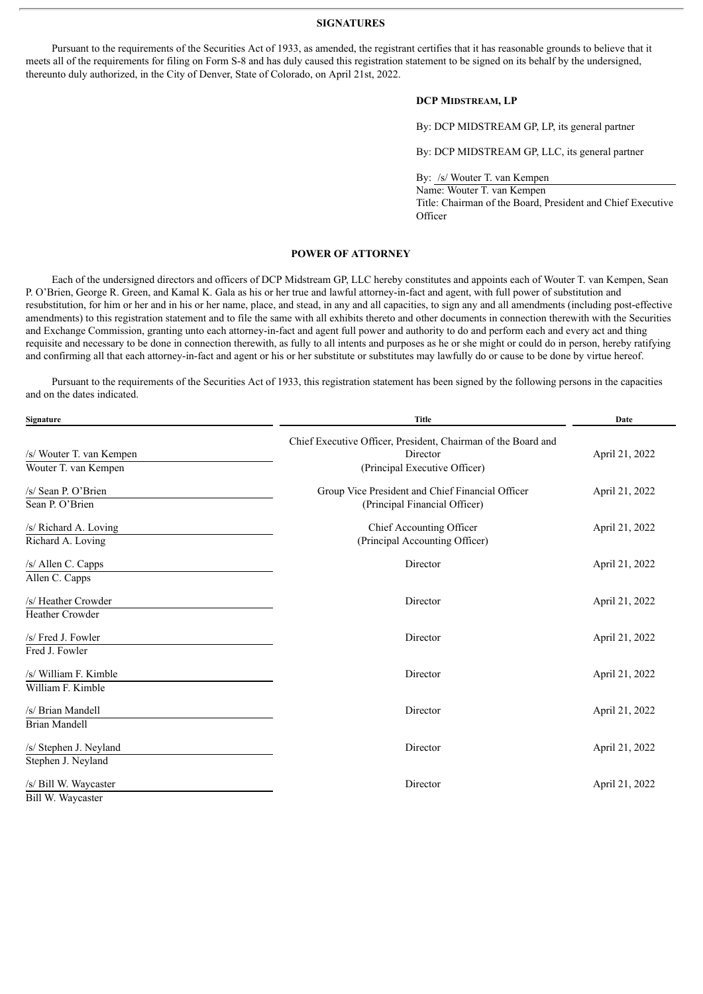#### **SIGNATURES**

<span id="page-3-0"></span>Pursuant to the requirements of the Securities Act of 1933, as amended, the registrant certifies that it has reasonable grounds to believe that it meets all of the requirements for filing on Form S-8 and has duly caused this registration statement to be signed on its behalf by the undersigned, thereunto duly authorized, in the City of Denver, State of Colorado, on April 21st, 2022.

# **DCP MIDSTREAM, LP**

By: DCP MIDSTREAM GP, LP, its general partner

By: DCP MIDSTREAM GP, LLC, its general partner

By: /s/ Wouter T. van Kempen

Name: Wouter T. van Kempen Title: Chairman of the Board, President and Chief Executive **Officer** 

## **POWER OF ATTORNEY**

Each of the undersigned directors and officers of DCP Midstream GP, LLC hereby constitutes and appoints each of Wouter T. van Kempen, Sean P. O'Brien, George R. Green, and Kamal K. Gala as his or her true and lawful attorney-in-fact and agent, with full power of substitution and resubstitution, for him or her and in his or her name, place, and stead, in any and all capacities, to sign any and all amendments (including post-effective amendments) to this registration statement and to file the same with all exhibits thereto and other documents in connection therewith with the Securities and Exchange Commission, granting unto each attorney-in-fact and agent full power and authority to do and perform each and every act and thing requisite and necessary to be done in connection therewith, as fully to all intents and purposes as he or she might or could do in person, hereby ratifying and confirming all that each attorney-in-fact and agent or his or her substitute or substitutes may lawfully do or cause to be done by virtue hereof.

Pursuant to the requirements of the Securities Act of 1933, this registration statement has been signed by the following persons in the capacities and on the dates indicated.

| Signature                | <b>Title</b>                                                              | Date           |  |
|--------------------------|---------------------------------------------------------------------------|----------------|--|
| /s/ Wouter T. van Kempen | Chief Executive Officer, President, Chairman of the Board and<br>Director | April 21, 2022 |  |
| Wouter T. van Kempen     | (Principal Executive Officer)                                             |                |  |
| /s/ Sean P. O'Brien      | Group Vice President and Chief Financial Officer                          | April 21, 2022 |  |
| Sean P. O'Brien          | (Principal Financial Officer)                                             |                |  |
| /s/ Richard A. Loving    | Chief Accounting Officer                                                  | April 21, 2022 |  |
| Richard A. Loving        | (Principal Accounting Officer)                                            |                |  |
| /s/ Allen C. Capps       | Director                                                                  | April 21, 2022 |  |
| Allen C. Capps           |                                                                           |                |  |
| /s/ Heather Crowder      | Director                                                                  | April 21, 2022 |  |
| <b>Heather Crowder</b>   |                                                                           |                |  |
| /s/ Fred J. Fowler       | Director                                                                  | April 21, 2022 |  |
| Fred J. Fowler           |                                                                           |                |  |
| /s/ William F. Kimble    | Director                                                                  | April 21, 2022 |  |
| William F. Kimble        |                                                                           |                |  |
| /s/ Brian Mandell        | Director                                                                  | April 21, 2022 |  |
| <b>Brian Mandell</b>     |                                                                           |                |  |
| /s/ Stephen J. Neyland   | Director                                                                  | April 21, 2022 |  |
| Stephen J. Neyland       |                                                                           |                |  |
| /s/ Bill W. Waycaster    | Director                                                                  | April 21, 2022 |  |
| Bill W. Waycaster        |                                                                           |                |  |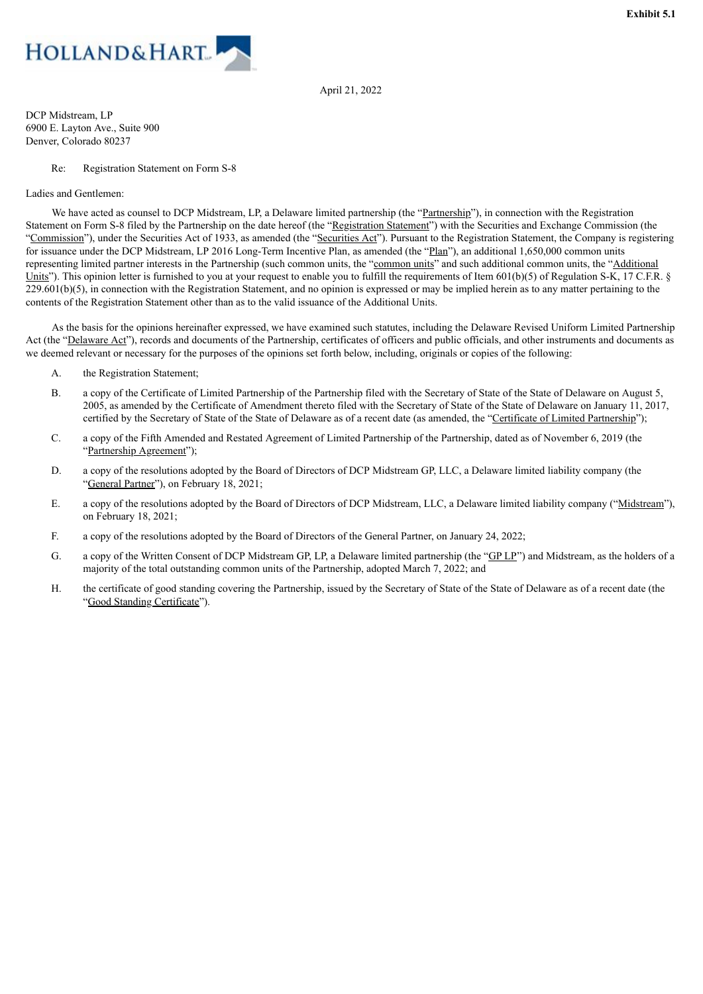<span id="page-4-0"></span>

April 21, 2022

DCP Midstream, LP 6900 E. Layton Ave., Suite 900 Denver, Colorado 80237

#### Re: Registration Statement on Form S-8

#### Ladies and Gentlemen:

We have acted as counsel to DCP Midstream, LP, a Delaware limited partnership (the "Partnership"), in connection with the Registration Statement on Form S-8 filed by the Partnership on the date hereof (the "Registration Statement") with the Securities and Exchange Commission (the "Commission"), under the Securities Act of 1933, as amended (the "Securities Act"). Pursuant to the Registration Statement, the Company is registering for issuance under the DCP Midstream, LP 2016 Long-Term Incentive Plan, as amended (the "Plan"), an additional 1,650,000 common units representing limited partner interests in the Partnership (such common units, the "common units" and such additional common units, the "Additional Units"). This opinion letter is furnished to you at your request to enable you to fulfill the requirements of Item  $601(b)(5)$  of Regulation S-K, 17 C.F.R. §  $229.601(b)(5)$ , in connection with the Registration Statement, and no opinion is expressed or may be implied herein as to any matter pertaining to the contents of the Registration Statement other than as to the valid issuance of the Additional Units.

As the basis for the opinions hereinafter expressed, we have examined such statutes, including the Delaware Revised Uniform Limited Partnership Act (the "Delaware Act"), records and documents of the Partnership, certificates of officers and public officials, and other instruments and documents as we deemed relevant or necessary for the purposes of the opinions set forth below, including, originals or copies of the following:

- A. the Registration Statement;
- B. a copy of the Certificate of Limited Partnership of the Partnership filed with the Secretary of State of the State of Delaware on August 5, 2005, as amended by the Certificate of Amendment thereto filed with the Secretary of State of the State of Delaware on January 11, 2017, certified by the Secretary of State of the State of Delaware as of a recent date (as amended, the "Certificate of Limited Partnership");
- C. a copy of the Fifth Amended and Restated Agreement of Limited Partnership of the Partnership, dated as of November 6, 2019 (the "Partnership Agreement");
- D. a copy of the resolutions adopted by the Board of Directors of DCP Midstream GP, LLC, a Delaware limited liability company (the "General Partner"), on February 18, 2021;
- E. a copy of the resolutions adopted by the Board of Directors of DCP Midstream, LLC, a Delaware limited liability company ("Midstream"), on February 18, 2021;
- F. a copy of the resolutions adopted by the Board of Directors of the General Partner, on January 24, 2022;
- G. a copy of the Written Consent of DCP Midstream GP, LP, a Delaware limited partnership (the "GP LP") and Midstream, as the holders of a majority of the total outstanding common units of the Partnership, adopted March 7, 2022; and
- H. the certificate of good standing covering the Partnership, issued by the Secretary of State of the State of Delaware as of a recent date (the "Good Standing Certificate").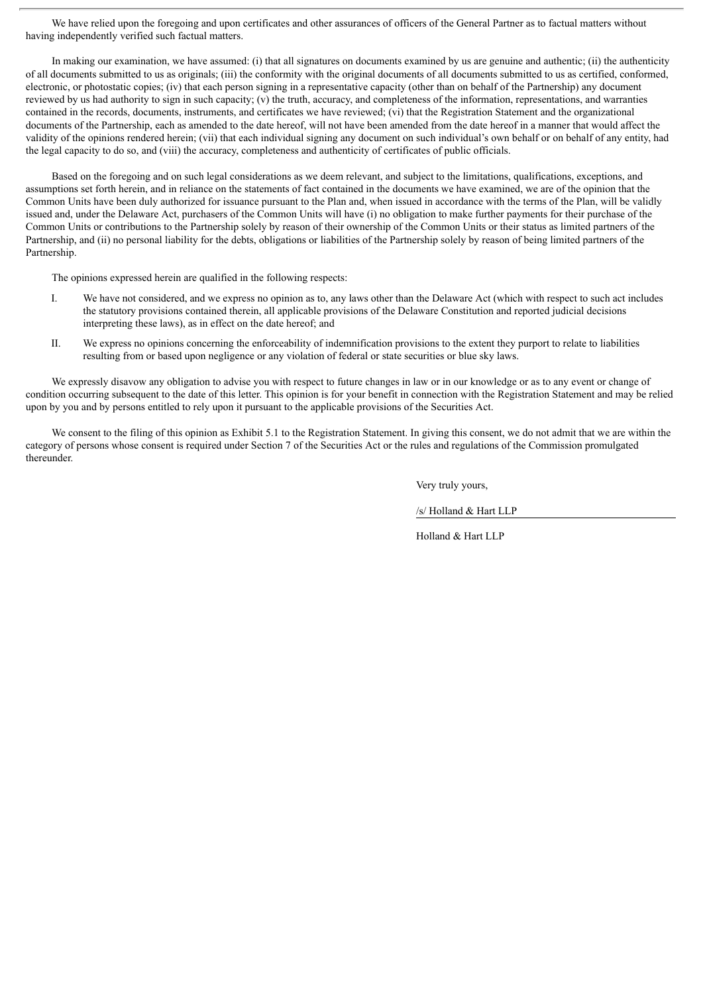We have relied upon the foregoing and upon certificates and other assurances of officers of the General Partner as to factual matters without having independently verified such factual matters.

In making our examination, we have assumed: (i) that all signatures on documents examined by us are genuine and authenticity (ii) the authenticity of all documents submitted to us as originals; (iii) the conformity with the original documents of all documents submitted to us as certified, conformed, electronic, or photostatic copies; (iv) that each person signing in a representative capacity (other than on behalf of the Partnership) any document reviewed by us had authority to sign in such capacity; (v) the truth, accuracy, and completeness of the information, representations, and warranties contained in the records, documents, instruments, and certificates we have reviewed; (vi) that the Registration Statement and the organizational documents of the Partnership, each as amended to the date hereof, will not have been amended from the date hereof in a manner that would affect the validity of the opinions rendered herein; (vii) that each individual signing any document on such individual's own behalf or on behalf of any entity, had the legal capacity to do so, and (viii) the accuracy, completeness and authenticity of certificates of public officials.

Based on the foregoing and on such legal considerations as we deem relevant, and subject to the limitations, qualifications, exceptions, and assumptions set forth herein, and in reliance on the statements of fact contained in the documents we have examined, we are of the opinion that the Common Units have been duly authorized for issuance pursuant to the Plan and, when issued in accordance with the terms of the Plan, will be validly issued and, under the Delaware Act, purchasers of the Common Units will have (i) no obligation to make further payments for their purchase of the Common Units or contributions to the Partnership solely by reason of their ownership of the Common Units or their status as limited partners of the Partnership, and (ii) no personal liability for the debts, obligations or liabilities of the Partnership solely by reason of being limited partners of the Partnership.

The opinions expressed herein are qualified in the following respects:

- I. We have not considered, and we express no opinion as to, any laws other than the Delaware Act (which with respect to such act includes the statutory provisions contained therein, all applicable provisions of the Delaware Constitution and reported judicial decisions interpreting these laws), as in effect on the date hereof; and
- II. We express no opinions concerning the enforceability of indemnification provisions to the extent they purport to relate to liabilities resulting from or based upon negligence or any violation of federal or state securities or blue sky laws.

We expressly disavow any obligation to advise you with respect to future changes in law or in our knowledge or as to any event or change of condition occurring subsequent to the date of this letter. This opinion is for your benefit in connection with the Registration Statement and may be relied upon by you and by persons entitled to rely upon it pursuant to the applicable provisions of the Securities Act.

We consent to the filing of this opinion as Exhibit 5.1 to the Registration Statement. In giving this consent, we do not admit that we are within the category of persons whose consent is required under Section 7 of the Securities Act or the rules and regulations of the Commission promulgated thereunder.

Very truly yours,

/s/ Holland & Hart LLP

Holland & Hart LLP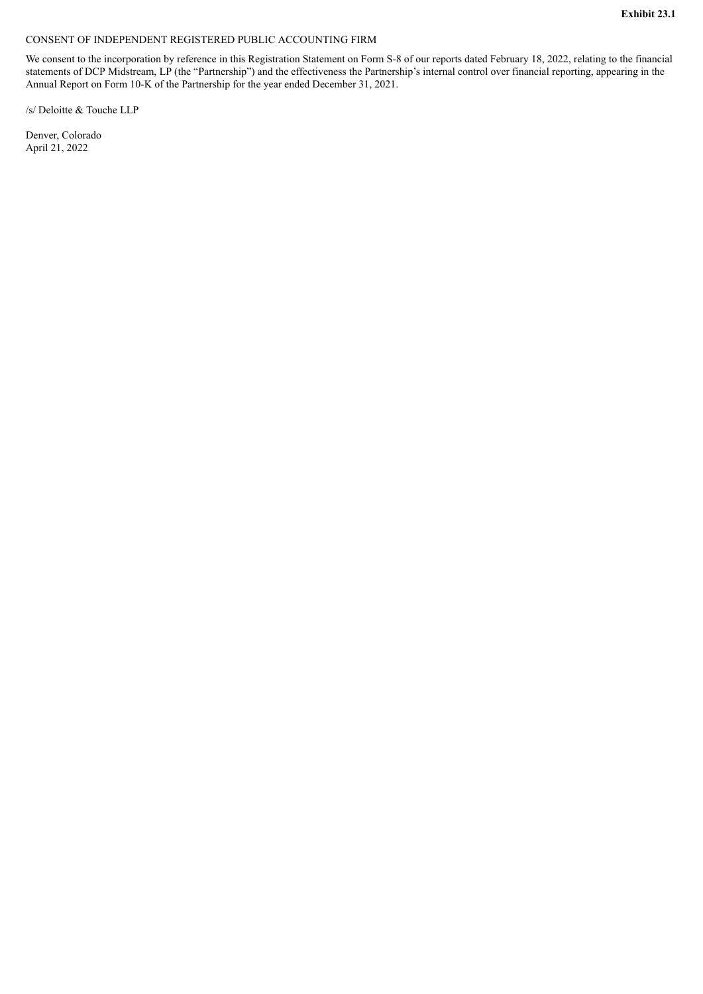## <span id="page-6-0"></span>CONSENT OF INDEPENDENT REGISTERED PUBLIC ACCOUNTING FIRM

We consent to the incorporation by reference in this Registration Statement on Form S-8 of our reports dated February 18, 2022, relating to the financial statements of DCP Midstream, LP (the "Partnership") and the effectiveness the Partnership's internal control over financial reporting, appearing in the Annual Report on Form 10-K of the Partnership for the year ended December 31, 2021.

/s/ Deloitte & Touche LLP

Denver, Colorado April 21, 2022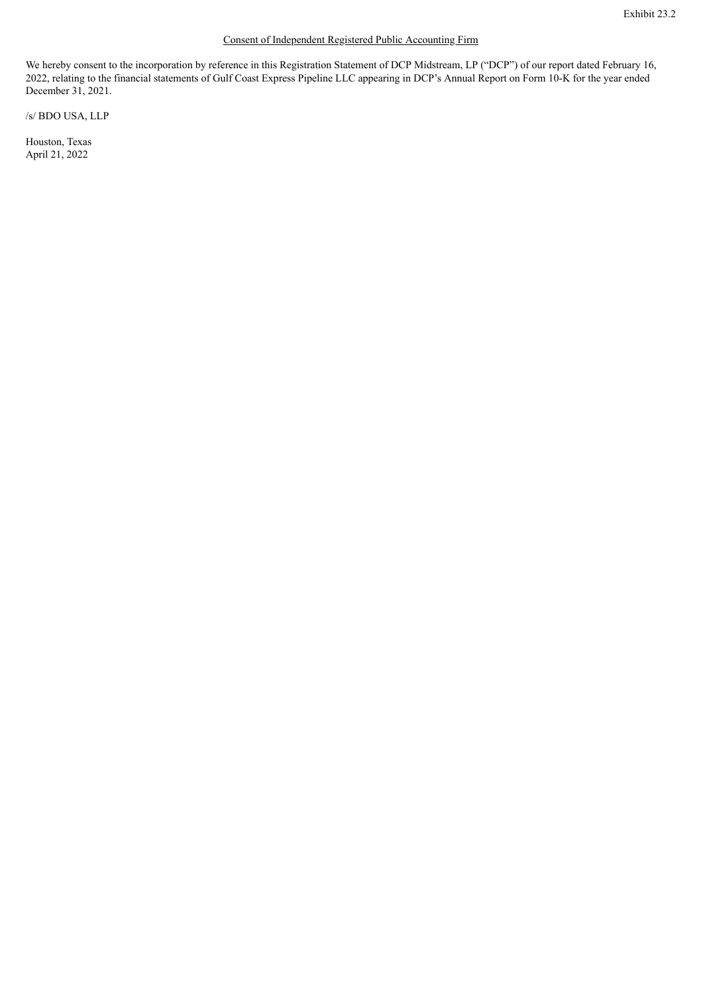# Consent of Independent Registered Public Accounting Firm

<span id="page-7-0"></span>We hereby consent to the incorporation by reference in this Registration Statement of DCP Midstream, LP ("DCP") of our report dated February 16, 2022, relating to the financial statements of Gulf Coast Express Pipeline LLC appearing in DCP's Annual Report on Form 10-K for the year ended December 31, 2021.

/s/ BDO USA, LLP

Houston, Texas April 21, 2022